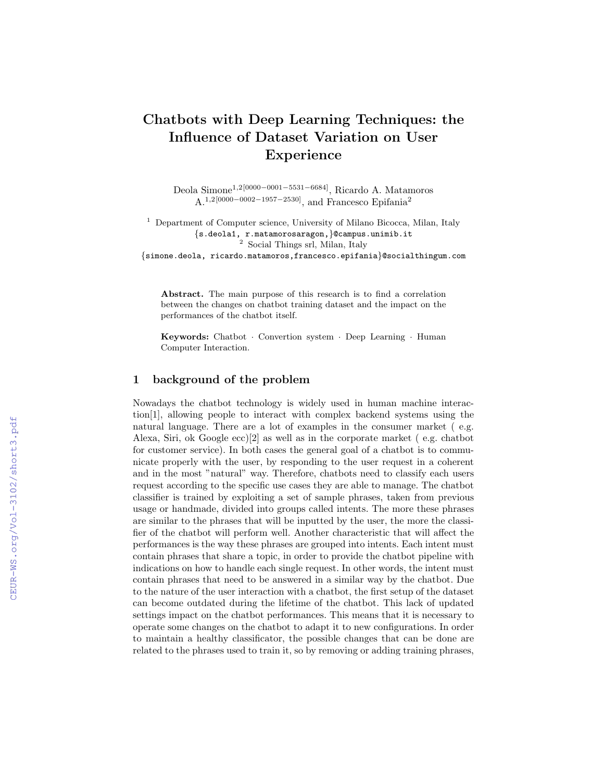# Chatbots with Deep Learning Techniques: the Influence of Dataset Variation on User Experience

Deola Simone1,2[0000−0001−5531−6684], Ricardo A. Matamoros  $A^{1,2[0000-0002-1957-2530]}$ , and Francesco Epifania<sup>2</sup>

<sup>1</sup> Department of Computer science, University of Milano Bicocca, Milan, Italy {s.deola1, r.matamorosaragon,}@campus.unimib.it <sup>2</sup> Social Things srl, Milan, Italy {simone.deola, ricardo.matamoros,francesco.epifania}@socialthingum.com

Abstract. The main purpose of this research is to find a correlation between the changes on chatbot training dataset and the impact on the performances of the chatbot itself.

Keywords: Chatbot · Convertion system · Deep Learning · Human Computer Interaction.

# 1 background of the problem

Nowadays the chatbot technology is widely used in human machine interaction[1], allowing people to interact with complex backend systems using the natural language. There are a lot of examples in the consumer market ( e.g. Alexa, Siri, ok Google ecc)[2] as well as in the corporate market ( e.g. chatbot for customer service). In both cases the general goal of a chatbot is to communicate properly with the user, by responding to the user request in a coherent and in the most "natural" way. Therefore, chatbots need to classify each users request according to the specific use cases they are able to manage. The chatbot classifier is trained by exploiting a set of sample phrases, taken from previous usage or handmade, divided into groups called intents. The more these phrases are similar to the phrases that will be inputted by the user, the more the classifier of the chatbot will perform well. Another characteristic that will affect the performances is the way these phrases are grouped into intents. Each intent must contain phrases that share a topic, in order to provide the chatbot pipeline with indications on how to handle each single request. In other words, the intent must contain phrases that need to be answered in a similar way by the chatbot. Due to the nature of the user interaction with a chatbot, the first setup of the dataset can become outdated during the lifetime of the chatbot. This lack of updated settings impact on the chatbot performances. This means that it is necessary to operate some changes on the chatbot to adapt it to new configurations. In order to maintain a healthy classificator, the possible changes that can be done are related to the phrases used to train it, so by removing or adding training phrases,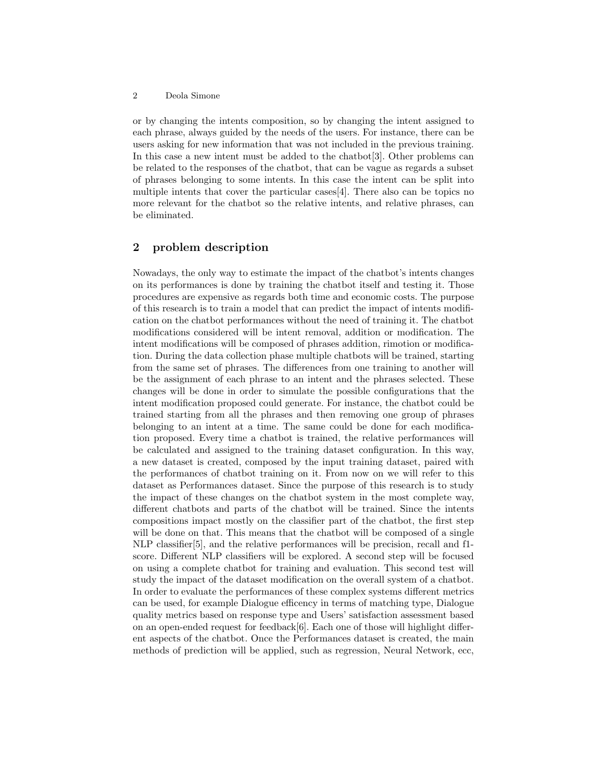#### 2 Deola Simone

or by changing the intents composition, so by changing the intent assigned to each phrase, always guided by the needs of the users. For instance, there can be users asking for new information that was not included in the previous training. In this case a new intent must be added to the chatbot[3]. Other problems can be related to the responses of the chatbot, that can be vague as regards a subset of phrases belonging to some intents. In this case the intent can be split into multiple intents that cover the particular cases[4]. There also can be topics no more relevant for the chatbot so the relative intents, and relative phrases, can be eliminated.

### 2 problem description

Nowadays, the only way to estimate the impact of the chatbot's intents changes on its performances is done by training the chatbot itself and testing it. Those procedures are expensive as regards both time and economic costs. The purpose of this research is to train a model that can predict the impact of intents modification on the chatbot performances without the need of training it. The chatbot modifications considered will be intent removal, addition or modification. The intent modifications will be composed of phrases addition, rimotion or modification. During the data collection phase multiple chatbots will be trained, starting from the same set of phrases. The differences from one training to another will be the assignment of each phrase to an intent and the phrases selected. These changes will be done in order to simulate the possible configurations that the intent modification proposed could generate. For instance, the chatbot could be trained starting from all the phrases and then removing one group of phrases belonging to an intent at a time. The same could be done for each modification proposed. Every time a chatbot is trained, the relative performances will be calculated and assigned to the training dataset configuration. In this way, a new dataset is created, composed by the input training dataset, paired with the performances of chatbot training on it. From now on we will refer to this dataset as Performances dataset. Since the purpose of this research is to study the impact of these changes on the chatbot system in the most complete way, different chatbots and parts of the chatbot will be trained. Since the intents compositions impact mostly on the classifier part of the chatbot, the first step will be done on that. This means that the chatbot will be composed of a single NLP classifier[5], and the relative performances will be precision, recall and f1 score. Different NLP classifiers will be explored. A second step will be focused on using a complete chatbot for training and evaluation. This second test will study the impact of the dataset modification on the overall system of a chatbot. In order to evaluate the performances of these complex systems different metrics can be used, for example Dialogue efficency in terms of matching type, Dialogue quality metrics based on response type and Users' satisfaction assessment based on an open-ended request for feedback[6]. Each one of those will highlight different aspects of the chatbot. Once the Performances dataset is created, the main methods of prediction will be applied, such as regression, Neural Network, ecc,